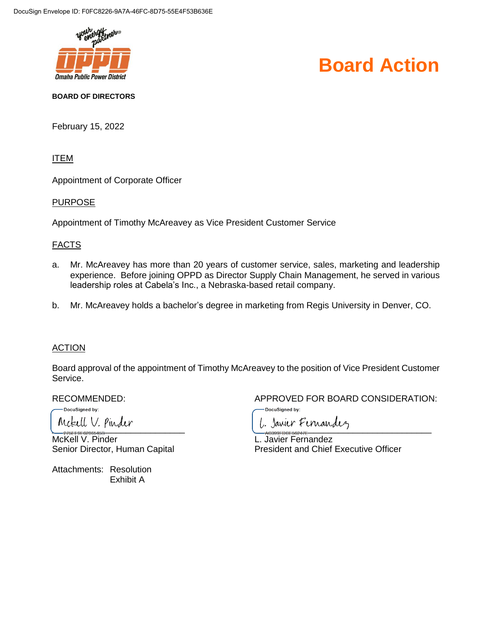

# **Board Action**

**BOARD OF DIRECTORS**

February 15, 2022

ITEM

Appointment of Corporate Officer

#### PURPOSE

Appointment of Timothy McAreavey as Vice President Customer Service

#### FACTS

- a. Mr. McAreavey has more than 20 years of customer service, sales, marketing and leadership experience. Before joining OPPD as Director Supply Chain Management, he served in various leadership roles at Cabela's Inc., a Nebraska-based retail company.
- b. Mr. McAreavey holds a bachelor's degree in marketing from Regis University in Denver, CO.

#### ACTION

Board approval of the appointment of Timothy McAreavey to the position of Vice President Customer Service.

DocuSigned by:

<u>McKell V. Pinder L. Javier Fernandez</u>

Attachments: Resolution Exhibit A

RECOMMENDED: APPROVED FOR BOARD CONSIDERATION:

DocuSigned by:

 $\frac{1}{27555055455}$ Senior Director, Human Capital **President and Chief Executive Officer**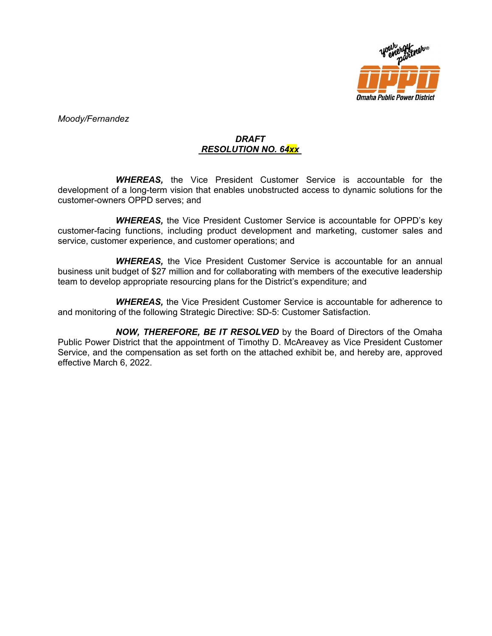

*Moody/Fernandez*

### *DRAFT RESOLUTION NO. 64xx*

*WHEREAS,* the Vice President Customer Service is accountable for the development of a long-term vision that enables unobstructed access to dynamic solutions for the customer-owners OPPD serves; and

*WHEREAS,* the Vice President Customer Service is accountable for OPPD's key customer-facing functions, including product development and marketing, customer sales and service, customer experience, and customer operations; and

*WHEREAS,* the Vice President Customer Service is accountable for an annual business unit budget of \$27 million and for collaborating with members of the executive leadership team to develop appropriate resourcing plans for the District's expenditure; and

*WHEREAS,* the Vice President Customer Service is accountable for adherence to and monitoring of the following Strategic Directive: SD-5: Customer Satisfaction.

*NOW, THEREFORE, BE IT RESOLVED* by the Board of Directors of the Omaha Public Power District that the appointment of Timothy D. McAreavey as Vice President Customer Service, and the compensation as set forth on the attached exhibit be, and hereby are, approved effective March 6, 2022.